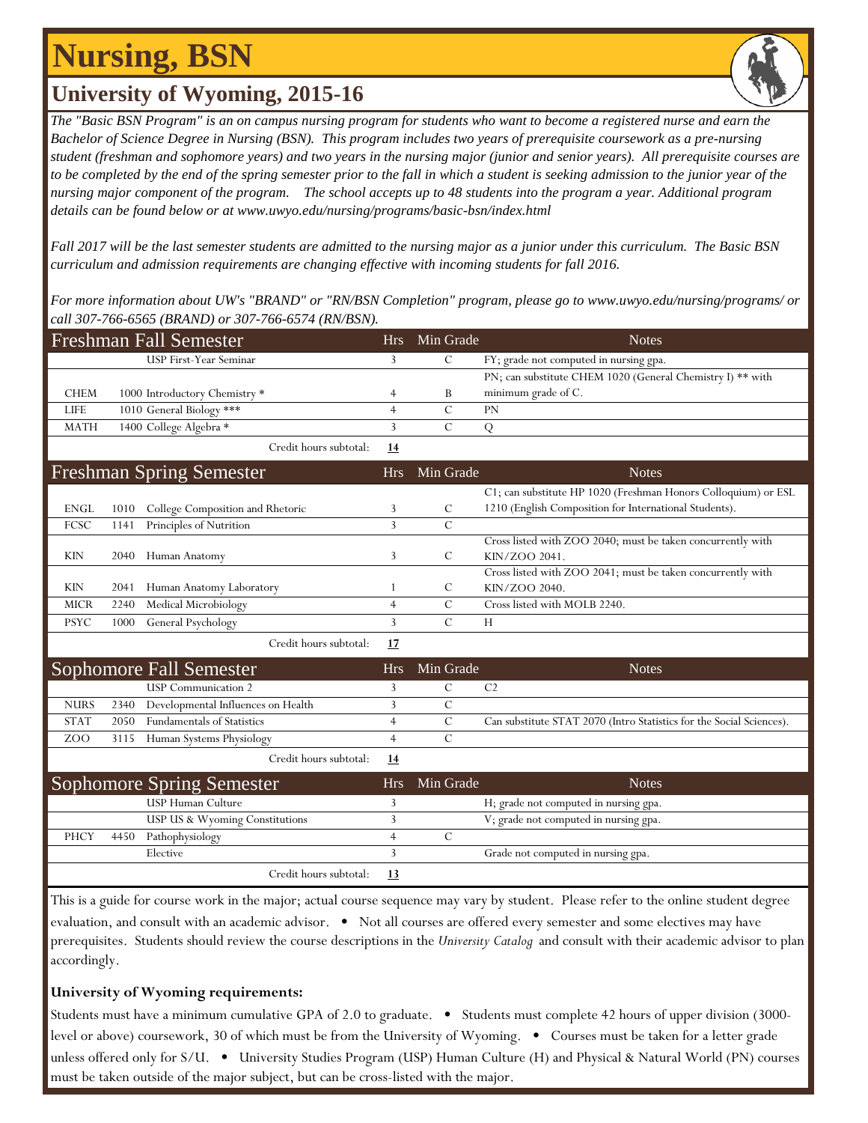# **Nursing, BSN**

## **University of Wyoming, 2015-16**

*The "Basic BSN Program" is an on campus nursing program for students who want to become a registered nurse and earn the Bachelor of Science Degree in Nursing (BSN). This program includes two years of prerequisite coursework as a pre-nursing student (freshman and sophomore years) and two years in the nursing major (junior and senior years). All prerequisite courses are to be completed by the end of the spring semester prior to the fall in which a student is seeking admission to the junior year of the nursing major component of the program. The school accepts up to 48 students into the program a year. Additional program details can be found below or at www.uwyo.edu/nursing/programs/basic-bsn/index.html* 

*Fall 2017 will be the last semester students are admitted to the nursing major as a junior under this curriculum. The Basic BSN curriculum and admission requirements are changing effective with incoming students for fall 2016.*

*For more information about UW's "BRAND" or "RN/BSN Completion" program, please go to www.uwyo.edu/nursing/programs/ or call 307-766-6565 (BRAND) or 307-766-6574 (RN/BSN).*

| <b>Freshman Fall Semester</b>    |      |                                    |            | Min Grade     | <b>Notes</b>                                                         |
|----------------------------------|------|------------------------------------|------------|---------------|----------------------------------------------------------------------|
| USP First-Year Seminar           |      |                                    | 3          | $\mathcal{C}$ | FY; grade not computed in nursing gpa.                               |
|                                  |      |                                    |            |               | PN; can substitute CHEM 1020 (General Chemistry I) ** with           |
| <b>CHEM</b>                      |      | 1000 Introductory Chemistry *      | 4          | B             | minimum grade of C.                                                  |
| <b>LIFE</b>                      |      | 1010 General Biology ***           | 4          | $\mathcal{C}$ | PN                                                                   |
| <b>MATH</b>                      |      | 1400 College Algebra *             | 3          | $\mathbf C$   | Q                                                                    |
|                                  |      | Credit hours subtotal:             | <u>14</u>  |               |                                                                      |
|                                  |      | <b>Freshman Spring Semester</b>    | <b>Hrs</b> | Min Grade     | <b>Notes</b>                                                         |
|                                  |      |                                    |            |               | C1; can substitute HP 1020 (Freshman Honors Colloquium) or ESL       |
| <b>ENGL</b>                      | 1010 | College Composition and Rhetoric   | 3          | C             | 1210 (English Composition for International Students).               |
| FCSC                             | 1141 | Principles of Nutrition            | 3          | $\mathcal{C}$ |                                                                      |
|                                  |      |                                    |            |               | Cross listed with ZOO 2040; must be taken concurrently with          |
| <b>KIN</b>                       | 2040 | Human Anatomy                      | 3          | $\mathcal{C}$ | KIN/ZOO 2041.                                                        |
|                                  |      |                                    |            |               | Cross listed with ZOO 2041; must be taken concurrently with          |
| <b>KIN</b>                       | 2041 | Human Anatomy Laboratory           | 1          | $\mathcal{C}$ | KIN/ZOO 2040.                                                        |
| <b>MICR</b>                      | 2240 | Medical Microbiology               | 4          | $\mathcal{C}$ | Cross listed with MOLB 2240.                                         |
| <b>PSYC</b>                      | 1000 | General Psychology                 | 3          | $\mathcal{C}$ | H                                                                    |
|                                  |      | Credit hours subtotal:             | 17         |               |                                                                      |
| Sophomore Fall Semester          |      |                                    | <b>Hrs</b> | Min Grade     | <b>Notes</b>                                                         |
|                                  |      | <b>USP</b> Communication 2         | 3          | $\mathcal{C}$ | C <sub>2</sub>                                                       |
| <b>NURS</b>                      | 2340 | Developmental Influences on Health | 3          | $\mathbf C$   |                                                                      |
| <b>STAT</b>                      | 2050 | <b>Fundamentals of Statistics</b>  | 4          | $\mathbf C$   | Can substitute STAT 2070 (Intro Statistics for the Social Sciences). |
| Z <sub>O</sub> O                 | 3115 | Human Systems Physiology           | 4          | $\mathcal{C}$ |                                                                      |
|                                  |      | Credit hours subtotal:             | 14         |               |                                                                      |
| <b>Sophomore Spring Semester</b> |      |                                    | <b>Hrs</b> | Min Grade     | <b>Notes</b>                                                         |
|                                  |      | USP Human Culture                  | 3          |               | H; grade not computed in nursing gpa.                                |
|                                  |      | USP US & Wyoming Constitutions     | 3          |               | V; grade not computed in nursing gpa.                                |
| PHCY                             | 4450 | Pathophysiology                    | 4          | $\mathcal{C}$ |                                                                      |
|                                  |      | Elective                           | 3          |               | Grade not computed in nursing gpa.                                   |
|                                  |      | Credit hours subtotal:             | 13         |               |                                                                      |

This is a guide for course work in the major; actual course sequence may vary by student. Please refer to the online student degree evaluation, and consult with an academic advisor. • Not all courses are offered every semester and some electives may have prerequisites. Students should review the course descriptions in the *University Catalog* and consult with their academic advisor to plan accordingly.

#### **University of Wyoming requirements:**

Students must have a minimum cumulative GPA of 2.0 to graduate. • Students must complete 42 hours of upper division (3000 level or above) coursework, 30 of which must be from the University of Wyoming. • Courses must be taken for a letter grade unless offered only for S/U. • University Studies Program (USP) Human Culture (H) and Physical & Natural World (PN) courses must be taken outside of the major subject, but can be cross-listed with the major.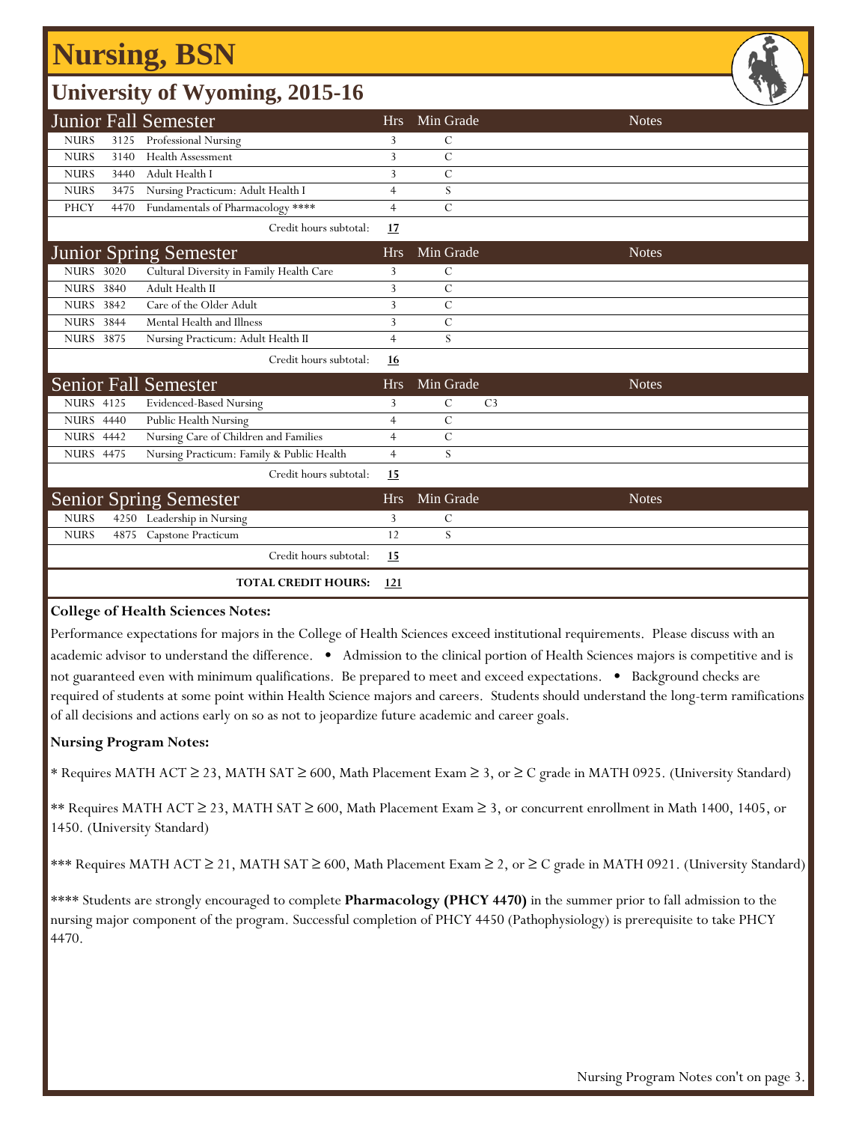## **Nursing, BSN**

| <b>University of Wyoming, 2015-16</b> |      |                                           |                |               |                |              |  |  |  |  |
|---------------------------------------|------|-------------------------------------------|----------------|---------------|----------------|--------------|--|--|--|--|
|                                       |      | <b>Junior Fall Semester</b>               | <b>Hrs</b>     | Min Grade     |                | <b>Notes</b> |  |  |  |  |
| <b>NURS</b>                           | 3125 | Professional Nursing                      | 3              | C             |                |              |  |  |  |  |
| <b>NURS</b>                           | 3140 | Health Assessment                         | 3              | $\mathcal{C}$ |                |              |  |  |  |  |
| <b>NURS</b>                           | 3440 | Adult Health I                            | 3              | $\mathcal{C}$ |                |              |  |  |  |  |
| <b>NURS</b>                           | 3475 | Nursing Practicum: Adult Health I         | $\overline{4}$ | S             |                |              |  |  |  |  |
| PHCY                                  | 4470 | Fundamentals of Pharmacology ****         | $\overline{4}$ | $\mathcal{C}$ |                |              |  |  |  |  |
|                                       |      | Credit hours subtotal:                    | 17             |               |                |              |  |  |  |  |
|                                       |      | <b>Junior Spring Semester</b>             | <b>Hrs</b>     | Min Grade     |                | <b>Notes</b> |  |  |  |  |
| <b>NURS 3020</b>                      |      | Cultural Diversity in Family Health Care  | 3              | $\mathcal{C}$ |                |              |  |  |  |  |
| <b>NURS 3840</b>                      |      | Adult Health II                           | 3              | $\mathcal{C}$ |                |              |  |  |  |  |
| <b>NURS</b> 3842                      |      | Care of the Older Adult                   | 3              | $\mathcal{C}$ |                |              |  |  |  |  |
| <b>NURS 3844</b>                      |      | Mental Health and Illness                 | 3              | $\mathcal{C}$ |                |              |  |  |  |  |
| <b>NURS 3875</b>                      |      | Nursing Practicum: Adult Health II        | $\overline{4}$ | S             |                |              |  |  |  |  |
|                                       |      | Credit hours subtotal:                    | <u>16</u>      |               |                |              |  |  |  |  |
|                                       |      | <b>Senior Fall Semester</b>               | <b>Hrs</b>     | Min Grade     |                | <b>Notes</b> |  |  |  |  |
| <b>NURS 4125</b>                      |      | <b>Evidenced-Based Nursing</b>            | 3              | $\mathcal{C}$ | C <sub>3</sub> |              |  |  |  |  |
| <b>NURS 4440</b>                      |      | Public Health Nursing                     | $\overline{4}$ | $\mathbf C$   |                |              |  |  |  |  |
| <b>NURS 4442</b>                      |      | Nursing Care of Children and Families     | $\overline{4}$ | $\mathcal{C}$ |                |              |  |  |  |  |
| <b>NURS 4475</b>                      |      | Nursing Practicum: Family & Public Health | $\overline{4}$ | S             |                |              |  |  |  |  |
|                                       |      | Credit hours subtotal:                    | 15             |               |                |              |  |  |  |  |
|                                       |      | <b>Senior Spring Semester</b>             | <b>Hrs</b>     | Min Grade     |                | <b>Notes</b> |  |  |  |  |
| <b>NURS</b>                           |      | 4250 Leadership in Nursing                | 3              | C             |                |              |  |  |  |  |
| <b>NURS</b>                           |      | 4875 Capstone Practicum                   | 12             | S             |                |              |  |  |  |  |
|                                       |      | Credit hours subtotal:                    | 15             |               |                |              |  |  |  |  |
|                                       |      | <b>TOTAL CREDIT HOURS:</b>                | 121            |               |                |              |  |  |  |  |

#### **College of Health Sciences Notes:**

Performance expectations for majors in the College of Health Sciences exceed institutional requirements. Please discuss with an academic advisor to understand the difference. • Admission to the clinical portion of Health Sciences majors is competitive and is not guaranteed even with minimum qualifications. Be prepared to meet and exceed expectations. • Background checks are required of students at some point within Health Science majors and careers. Students should understand the long-term ramifications of all decisions and actions early on so as not to jeopardize future academic and career goals.

#### **Nursing Program Notes:**

\* Requires MATH ACT ≥ 23, MATH SAT ≥ 600, Math Placement Exam ≥ 3, or ≥ C grade in MATH 0925. (University Standard)

\*\* Requires MATH ACT ≥ 23, MATH SAT ≥ 600, Math Placement Exam ≥ 3, or concurrent enrollment in Math 1400, 1405, or 1450. (University Standard)

\*\*\* Requires MATH ACT ≥ 21, MATH SAT ≥ 600, Math Placement Exam ≥ 2, or ≥ C grade in MATH 0921. (University Standard)

\*\*\*\* Students are strongly encouraged to complete **Pharmacology (PHCY 4470)** in the summer prior to fall admission to the nursing major component of the program. Successful completion of PHCY 4450 (Pathophysiology) is prerequisite to take PHCY 4470.